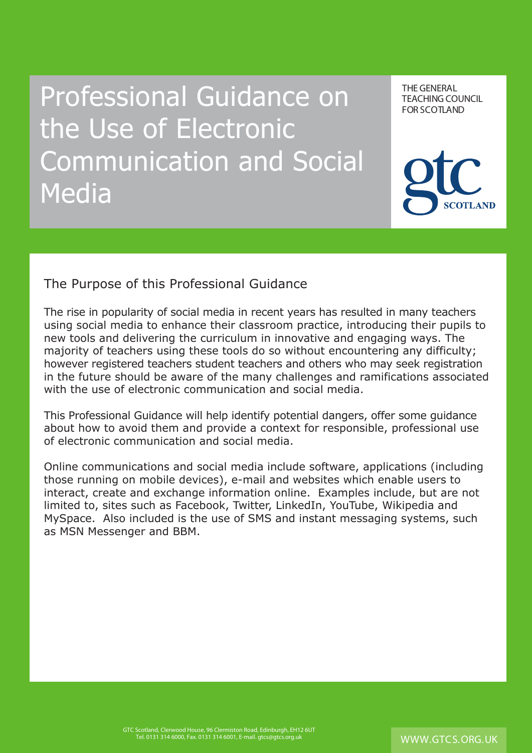Professional Guidance on the Use of Electronic Communication and Social **Media** 

THE GENERAL TEACHING COUNCIL FOR SCOTLAND THE GENERAL



#### The Purpose of this Professional Guidance

The rise in popularity of social media in recent years has resulted in many teachers using social media to enhance their classroom practice, introducing their pupils to new tools and delivering the curriculum in innovative and engaging ways. The majority of teachers using these tools do so without encountering any difficulty; however registered teachers student teachers and others who may seek registration in the future should be aware of the many challenges and ramifications associated with the use of electronic communication and social media.

This Professional Guidance will help identify potential dangers, offer some guidance about how to avoid them and provide a context for responsible, professional use of electronic communication and social media.

Online communications and social media include software, applications (including those running on mobile devices), e-mail and websites which enable users to interact, create and exchange information online. Examples include, but are not limited to, sites such as Facebook, Twitter, LinkedIn, YouTube, Wikipedia and MySpace. Also included is the use of SMS and instant messaging systems, such as MSN Messenger and BBM.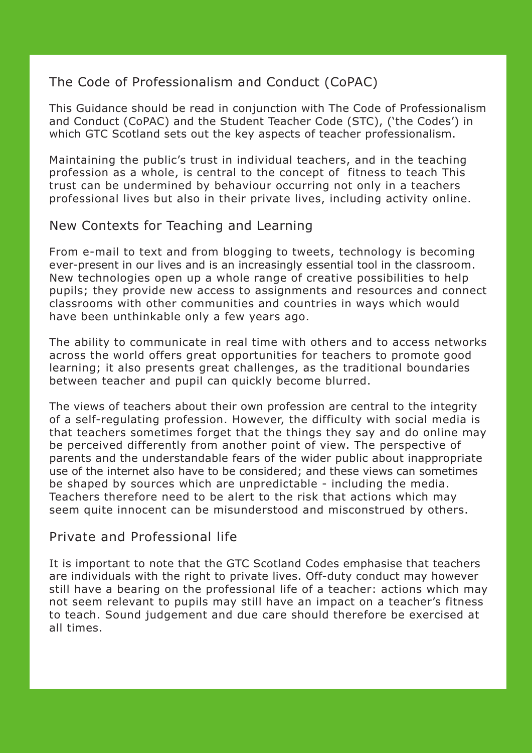### The Code of Professionalism and Conduct (CoPAC)

This Guidance should be read in conjunction with The Code of Professionalism and Conduct (CoPAC) and the Student Teacher Code (STC), ('the Codes') in which GTC Scotland sets out the key aspects of teacher professionalism.

Maintaining the public's trust in individual teachers, and in the teaching profession as a whole, is central to the concept of fitness to teach This trust can be undermined by behaviour occurring not only in a teachers professional lives but also in their private lives, including activity online.

### New Contexts for Teaching and Learning

From e-mail to text and from blogging to tweets, technology is becoming ever-present in our lives and is an increasingly essential tool in the classroom. New technologies open up a whole range of creative possibilities to help pupils; they provide new access to assignments and resources and connect classrooms with other communities and countries in ways which would have been unthinkable only a few years ago.

The ability to communicate in real time with others and to access networks across the world offers great opportunities for teachers to promote good learning; it also presents great challenges, as the traditional boundaries between teacher and pupil can quickly become blurred.

The views of teachers about their own profession are central to the integrity of a self-regulating profession. However, the difficulty with social media is that teachers sometimes forget that the things they say and do online may be perceived differently from another point of view. The perspective of parents and the understandable fears of the wider public about inappropriate use of the internet also have to be considered; and these views can sometimes be shaped by sources which are unpredictable - including the media. Teachers therefore need to be alert to the risk that actions which may seem quite innocent can be misunderstood and misconstrued by others.

### Private and Professional life

It is important to note that the GTC Scotland Codes emphasise that teachers are individuals with the right to private lives. Off-duty conduct may however still have a bearing on the professional life of a teacher: actions which may not seem relevant to pupils may still have an impact on a teacher's fitness to teach. Sound judgement and due care should therefore be exercised at all times.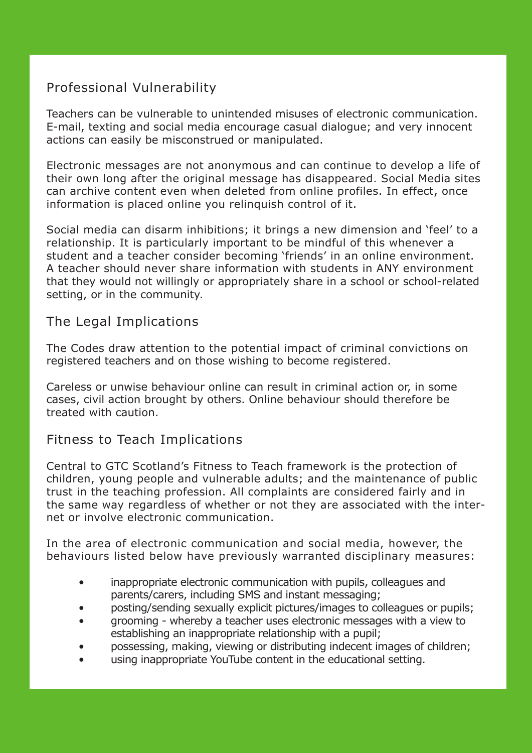# Professional Vulnerability

Teachers can be vulnerable to unintended misuses of electronic communication. E-mail, texting and social media encourage casual dialogue; and very innocent actions can easily be misconstrued or manipulated.

Electronic messages are not anonymous and can continue to develop a life of their own long after the original message has disappeared. Social Media sites can archive content even when deleted from online profiles. In effect, once information is placed online you relinquish control of it.

Social media can disarm inhibitions; it brings a new dimension and 'feel' to a relationship. It is particularly important to be mindful of this whenever a student and a teacher consider becoming 'friends' in an online environment. A teacher should never share information with students in ANY environment that they would not willingly or appropriately share in a school or school-related setting, or in the community.

### The Legal Implications

The Codes draw attention to the potential impact of criminal convictions on registered teachers and on those wishing to become registered.

Careless or unwise behaviour online can result in criminal action or, in some cases, civil action brought by others. Online behaviour should therefore be treated with caution.

### Fitness to Teach Implications

Central to GTC Scotland's Fitness to Teach framework is the protection of children, young people and vulnerable adults; and the maintenance of public trust in the teaching profession. All complaints are considered fairly and in the same way regardless of whether or not they are associated with the internet or involve electronic communication.

In the area of electronic communication and social media, however, the behaviours listed below have previously warranted disciplinary measures:

- inappropriate electronic communication with pupils, colleagues and parents/carers, including SMS and instant messaging;
- posting/sending sexually explicit pictures/images to colleagues or pupils;
- grooming whereby a teacher uses electronic messages with a view to establishing an inappropriate relationship with a pupil;
- possessing, making, viewing or distributing indecent images of children;
- using inappropriate YouTube content in the educational setting.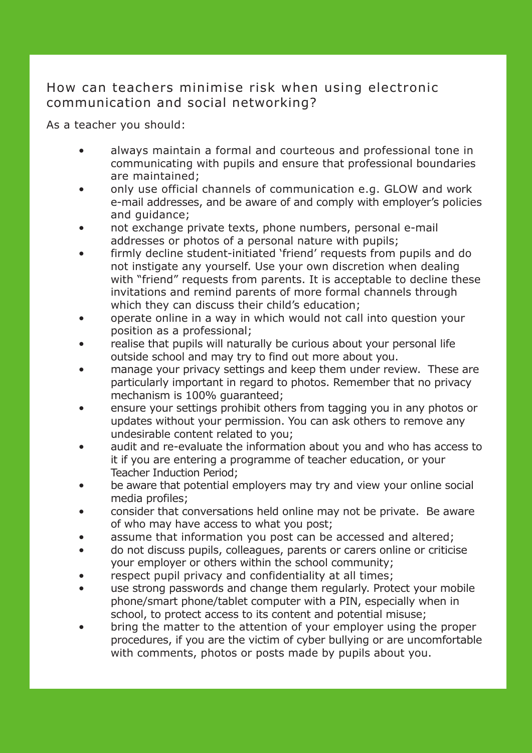# How can teachers minimise risk when using electronic communication and social networking?

As a teacher you should:

- always maintain a formal and courteous and professional tone in communicating with pupils and ensure that professional boundaries are maintained;
- only use official channels of communication e.g. GLOW and work e-mail addresses, and be aware of and comply with employer's policies and guidance;
- not exchange private texts, phone numbers, personal e-mail addresses or photos of a personal nature with pupils;
- firmly decline student-initiated 'friend' requests from pupils and do not instigate any yourself. Use your own discretion when dealing with "friend" requests from parents. It is acceptable to decline these invitations and remind parents of more formal channels through which they can discuss their child's education;
- operate online in a way in which would not call into question your position as a professional;
- realise that pupils will naturally be curious about your personal life outside school and may try to find out more about you.
- manage your privacy settings and keep them under review. These are particularly important in regard to photos. Remember that no privacy mechanism is 100% guaranteed;
- ensure your settings prohibit others from tagging you in any photos or updates without your permission. You can ask others to remove any undesirable content related to you;
- audit and re-evaluate the information about you and who has access to it if you are entering a programme of teacher education, or your Teacher Induction Period;
- be aware that potential employers may try and view your online social media profiles;
- consider that conversations held online may not be private. Be aware of who may have access to what you post;
- assume that information you post can be accessed and altered;
- do not discuss pupils, colleagues, parents or carers online or criticise your employer or others within the school community;
- respect pupil privacy and confidentiality at all times;
- use strong passwords and change them regularly. Protect your mobile phone/smart phone/tablet computer with a PIN, especially when in school, to protect access to its content and potential misuse;
- bring the matter to the attention of your employer using the proper procedures, if you are the victim of cyber bullying or are uncomfortable with comments, photos or posts made by pupils about you.